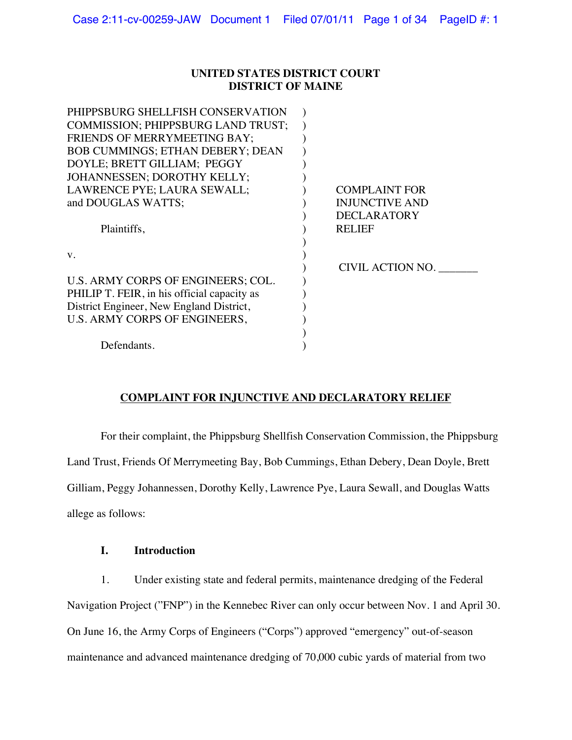## **UNITED STATES DISTRICT COURT DISTRICT OF MAINE**

| <b>COMPLAINT FOR</b>  |
|-----------------------|
| <b>INJUNCTIVE AND</b> |
| <b>DECLARATORY</b>    |
| <b>RELIEF</b>         |
|                       |
|                       |
| CIVIL ACTION NO.      |
|                       |
|                       |
|                       |
|                       |
|                       |
|                       |
|                       |

# **COMPLAINT FOR INJUNCTIVE AND DECLARATORY RELIEF**

For their complaint, the Phippsburg Shellfish Conservation Commission, the Phippsburg Land Trust, Friends Of Merrymeeting Bay, Bob Cummings, Ethan Debery, Dean Doyle, Brett Gilliam, Peggy Johannessen, Dorothy Kelly, Lawrence Pye, Laura Sewall, and Douglas Watts allege as follows:

## **I. Introduction**

1. Under existing state and federal permits, maintenance dredging of the Federal Navigation Project ("FNP") in the Kennebec River can only occur between Nov. 1 and April 30. On June 16, the Army Corps of Engineers ("Corps") approved "emergency" out-of-season maintenance and advanced maintenance dredging of 70,000 cubic yards of material from two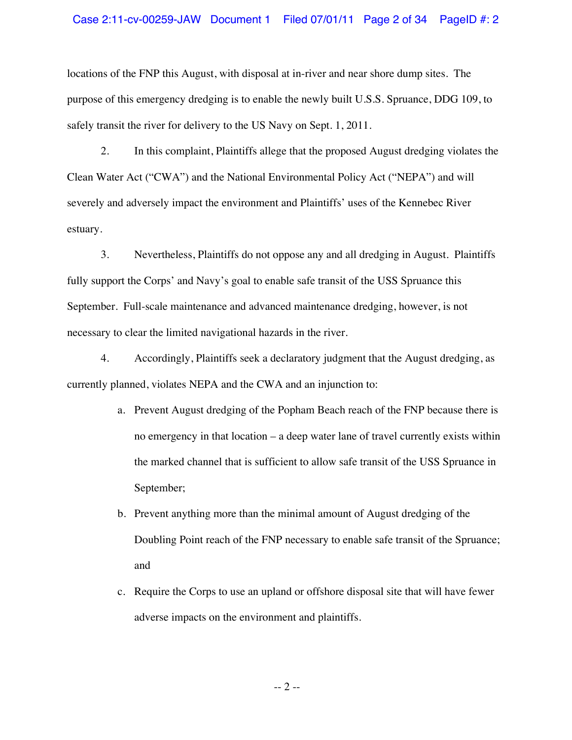locations of the FNP this August, with disposal at in-river and near shore dump sites. The purpose of this emergency dredging is to enable the newly built U.S.S. Spruance, DDG 109, to safely transit the river for delivery to the US Navy on Sept. 1, 2011.

2. In this complaint, Plaintiffs allege that the proposed August dredging violates the Clean Water Act ("CWA") and the National Environmental Policy Act ("NEPA") and will severely and adversely impact the environment and Plaintiffs' uses of the Kennebec River estuary.

3. Nevertheless, Plaintiffs do not oppose any and all dredging in August. Plaintiffs fully support the Corps' and Navy's goal to enable safe transit of the USS Spruance this September. Full-scale maintenance and advanced maintenance dredging, however, is not necessary to clear the limited navigational hazards in the river.

4. Accordingly, Plaintiffs seek a declaratory judgment that the August dredging, as currently planned, violates NEPA and the CWA and an injunction to:

- a. Prevent August dredging of the Popham Beach reach of the FNP because there is no emergency in that location – a deep water lane of travel currently exists within the marked channel that is sufficient to allow safe transit of the USS Spruance in September;
- b. Prevent anything more than the minimal amount of August dredging of the Doubling Point reach of the FNP necessary to enable safe transit of the Spruance; and
- c. Require the Corps to use an upland or offshore disposal site that will have fewer adverse impacts on the environment and plaintiffs.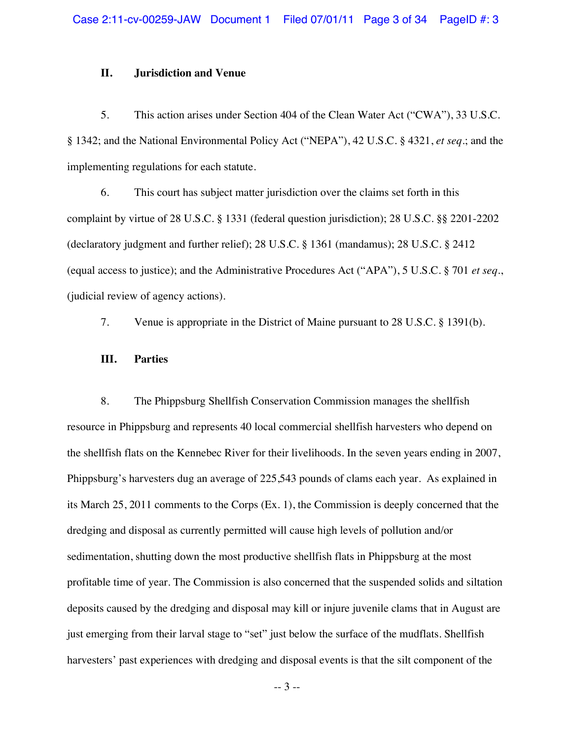## **II. Jurisdiction and Venue**

5. This action arises under Section 404 of the Clean Water Act ("CWA"), 33 U.S.C. § 1342; and the National Environmental Policy Act ("NEPA"), 42 U.S.C. § 4321, *et seq*.; and the implementing regulations for each statute.

6. This court has subject matter jurisdiction over the claims set forth in this complaint by virtue of 28 U.S.C. § 1331 (federal question jurisdiction); 28 U.S.C. §§ 2201-2202 (declaratory judgment and further relief); 28 U.S.C. § 1361 (mandamus); 28 U.S.C. § 2412 (equal access to justice); and the Administrative Procedures Act ("APA"), 5 U.S.C. § 701 *et seq*., (judicial review of agency actions).

7. Venue is appropriate in the District of Maine pursuant to 28 U.S.C. § 1391(b).

## **III. Parties**

8. The Phippsburg Shellfish Conservation Commission manages the shellfish resource in Phippsburg and represents 40 local commercial shellfish harvesters who depend on the shellfish flats on the Kennebec River for their livelihoods. In the seven years ending in 2007, Phippsburg's harvesters dug an average of 225,543 pounds of clams each year. As explained in its March 25, 2011 comments to the Corps (Ex. 1), the Commission is deeply concerned that the dredging and disposal as currently permitted will cause high levels of pollution and/or sedimentation, shutting down the most productive shellfish flats in Phippsburg at the most profitable time of year. The Commission is also concerned that the suspended solids and siltation deposits caused by the dredging and disposal may kill or injure juvenile clams that in August are just emerging from their larval stage to "set" just below the surface of the mudflats. Shellfish harvesters' past experiences with dredging and disposal events is that the silt component of the

-- 3 --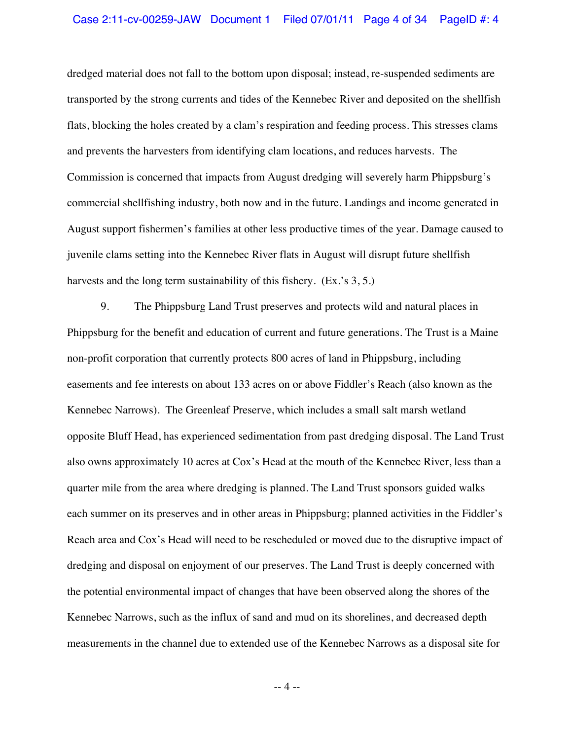dredged material does not fall to the bottom upon disposal; instead, re-suspended sediments are transported by the strong currents and tides of the Kennebec River and deposited on the shellfish flats, blocking the holes created by a clam's respiration and feeding process. This stresses clams and prevents the harvesters from identifying clam locations, and reduces harvests. The Commission is concerned that impacts from August dredging will severely harm Phippsburg's commercial shellfishing industry, both now and in the future. Landings and income generated in August support fishermen's families at other less productive times of the year. Damage caused to juvenile clams setting into the Kennebec River flats in August will disrupt future shellfish harvests and the long term sustainability of this fishery. (Ex.'s 3, 5.)

9. The Phippsburg Land Trust preserves and protects wild and natural places in Phippsburg for the benefit and education of current and future generations. The Trust is a Maine non-profit corporation that currently protects 800 acres of land in Phippsburg, including easements and fee interests on about 133 acres on or above Fiddler's Reach (also known as the Kennebec Narrows). The Greenleaf Preserve, which includes a small salt marsh wetland opposite Bluff Head, has experienced sedimentation from past dredging disposal. The Land Trust also owns approximately 10 acres at Cox's Head at the mouth of the Kennebec River, less than a quarter mile from the area where dredging is planned. The Land Trust sponsors guided walks each summer on its preserves and in other areas in Phippsburg; planned activities in the Fiddler's Reach area and Cox's Head will need to be rescheduled or moved due to the disruptive impact of dredging and disposal on enjoyment of our preserves. The Land Trust is deeply concerned with the potential environmental impact of changes that have been observed along the shores of the Kennebec Narrows, such as the influx of sand and mud on its shorelines, and decreased depth measurements in the channel due to extended use of the Kennebec Narrows as a disposal site for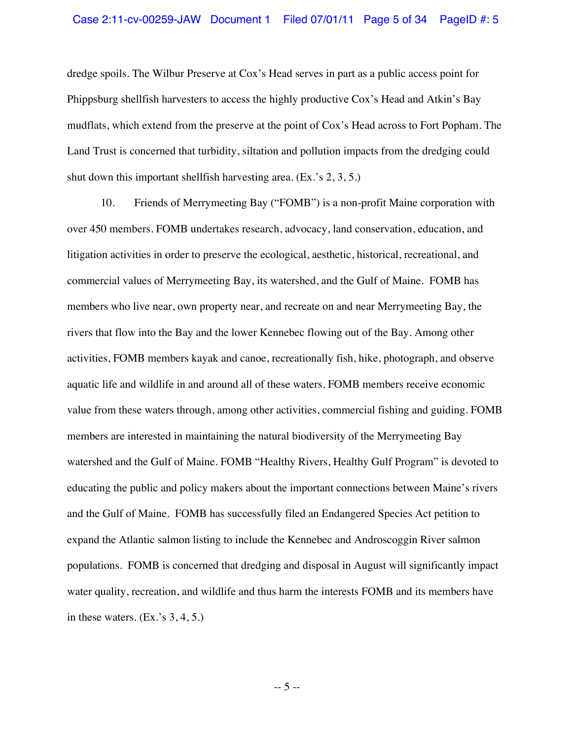dredge spoils. The Wilbur Preserve at Cox's Head serves in part as a public access point for Phippsburg shellfish harvesters to access the highly productive Cox's Head and Atkin's Bay mudflats, which extend from the preserve at the point of Cox's Head across to Fort Popham. The Land Trust is concerned that turbidity, siltation and pollution impacts from the dredging could shut down this important shellfish harvesting area. (Ex.'s 2, 3, 5.)

10. Friends of Merrymeeting Bay ("FOMB") is a non-profit Maine corporation with over 450 members. FOMB undertakes research, advocacy, land conservation, education, and litigation activities in order to preserve the ecological, aesthetic, historical, recreational, and commercial values of Merrymeeting Bay, its watershed, and the Gulf of Maine. FOMB has members who live near, own property near, and recreate on and near Merrymeeting Bay, the rivers that flow into the Bay and the lower Kennebec flowing out of the Bay. Among other activities, FOMB members kayak and canoe, recreationally fish, hike, photograph, and observe aquatic life and wildlife in and around all of these waters. FOMB members receive economic value from these waters through, among other activities, commercial fishing and guiding. FOMB members are interested in maintaining the natural biodiversity of the Merrymeeting Bay watershed and the Gulf of Maine. FOMB "Healthy Rivers, Healthy Gulf Program" is devoted to educating the public and policy makers about the important connections between Maine's rivers and the Gulf of Maine. FOMB has successfully filed an Endangered Species Act petition to expand the Atlantic salmon listing to include the Kennebec and Androscoggin River salmon populations. FOMB is concerned that dredging and disposal in August will significantly impact water quality, recreation, and wildlife and thus harm the interests FOMB and its members have in these waters.  $(Ex.^{s}S, 4, 5.)$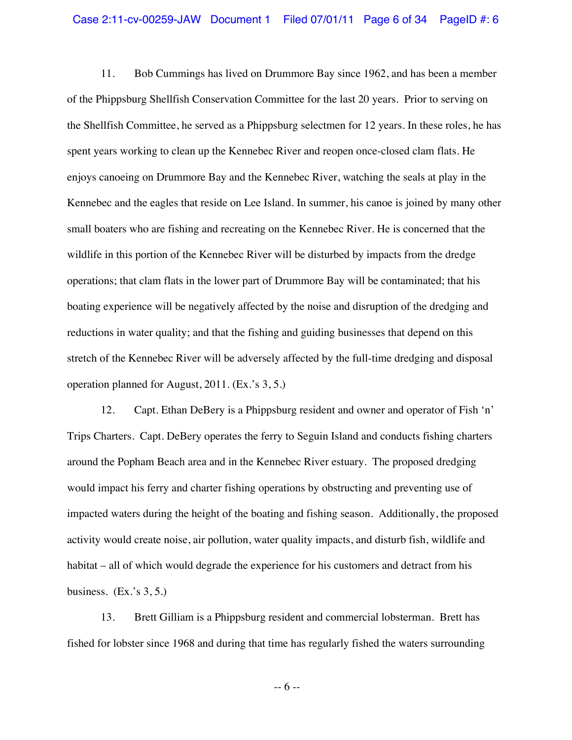11. Bob Cummings has lived on Drummore Bay since 1962, and has been a member of the Phippsburg Shellfish Conservation Committee for the last 20 years. Prior to serving on the Shellfish Committee, he served as a Phippsburg selectmen for 12 years. In these roles, he has spent years working to clean up the Kennebec River and reopen once-closed clam flats. He enjoys canoeing on Drummore Bay and the Kennebec River, watching the seals at play in the Kennebec and the eagles that reside on Lee Island. In summer, his canoe is joined by many other small boaters who are fishing and recreating on the Kennebec River. He is concerned that the wildlife in this portion of the Kennebec River will be disturbed by impacts from the dredge operations; that clam flats in the lower part of Drummore Bay will be contaminated; that his boating experience will be negatively affected by the noise and disruption of the dredging and reductions in water quality; and that the fishing and guiding businesses that depend on this stretch of the Kennebec River will be adversely affected by the full-time dredging and disposal operation planned for August, 2011. (Ex.'s 3, 5.)

12. Capt. Ethan DeBery is a Phippsburg resident and owner and operator of Fish 'n' Trips Charters. Capt. DeBery operates the ferry to Seguin Island and conducts fishing charters around the Popham Beach area and in the Kennebec River estuary. The proposed dredging would impact his ferry and charter fishing operations by obstructing and preventing use of impacted waters during the height of the boating and fishing season. Additionally, the proposed activity would create noise, air pollution, water quality impacts, and disturb fish, wildlife and habitat – all of which would degrade the experience for his customers and detract from his business.  $(Ex.^{s}S, 5.)$ 

13. Brett Gilliam is a Phippsburg resident and commercial lobsterman. Brett has fished for lobster since 1968 and during that time has regularly fished the waters surrounding

-- 6 --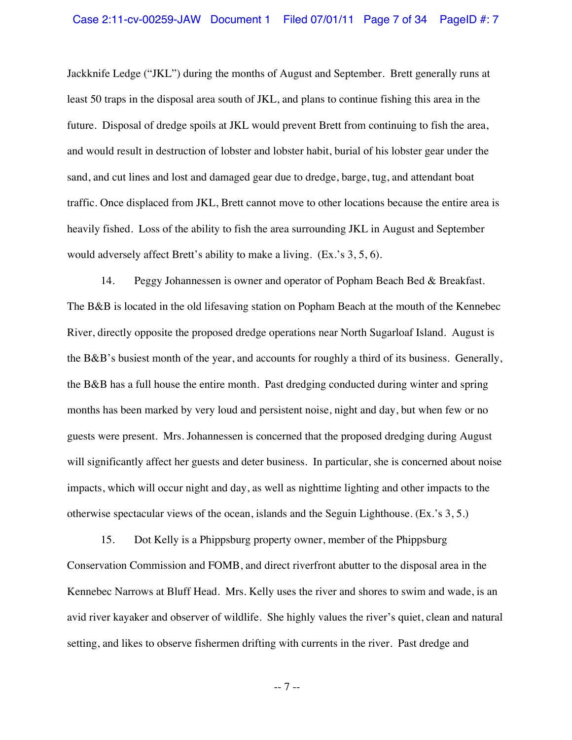Jackknife Ledge ("JKL") during the months of August and September. Brett generally runs at least 50 traps in the disposal area south of JKL, and plans to continue fishing this area in the future. Disposal of dredge spoils at JKL would prevent Brett from continuing to fish the area, and would result in destruction of lobster and lobster habit, burial of his lobster gear under the sand, and cut lines and lost and damaged gear due to dredge, barge, tug, and attendant boat traffic. Once displaced from JKL, Brett cannot move to other locations because the entire area is heavily fished. Loss of the ability to fish the area surrounding JKL in August and September would adversely affect Brett's ability to make a living. (Ex.'s 3, 5, 6).

14. Peggy Johannessen is owner and operator of Popham Beach Bed & Breakfast. The B&B is located in the old lifesaving station on Popham Beach at the mouth of the Kennebec River, directly opposite the proposed dredge operations near North Sugarloaf Island. August is the B&B's busiest month of the year, and accounts for roughly a third of its business. Generally, the B&B has a full house the entire month. Past dredging conducted during winter and spring months has been marked by very loud and persistent noise, night and day, but when few or no guests were present. Mrs. Johannessen is concerned that the proposed dredging during August will significantly affect her guests and deter business. In particular, she is concerned about noise impacts, which will occur night and day, as well as nighttime lighting and other impacts to the otherwise spectacular views of the ocean, islands and the Seguin Lighthouse. (Ex.'s 3, 5.)

15. Dot Kelly is a Phippsburg property owner, member of the Phippsburg Conservation Commission and FOMB, and direct riverfront abutter to the disposal area in the Kennebec Narrows at Bluff Head. Mrs. Kelly uses the river and shores to swim and wade, is an avid river kayaker and observer of wildlife. She highly values the river's quiet, clean and natural setting, and likes to observe fishermen drifting with currents in the river. Past dredge and

-- 7 --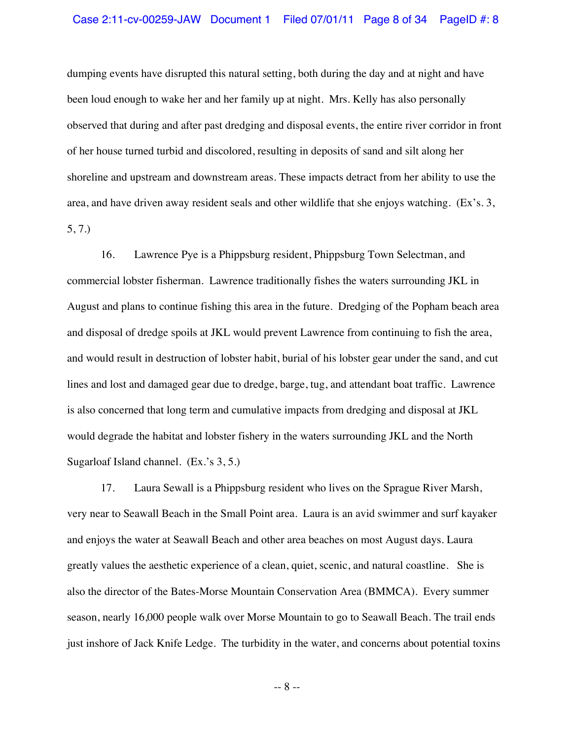dumping events have disrupted this natural setting, both during the day and at night and have been loud enough to wake her and her family up at night. Mrs. Kelly has also personally observed that during and after past dredging and disposal events, the entire river corridor in front of her house turned turbid and discolored, resulting in deposits of sand and silt along her shoreline and upstream and downstream areas. These impacts detract from her ability to use the area, and have driven away resident seals and other wildlife that she enjoys watching. (Ex's. 3, 5, 7.)

16. Lawrence Pye is a Phippsburg resident, Phippsburg Town Selectman, and commercial lobster fisherman. Lawrence traditionally fishes the waters surrounding JKL in August and plans to continue fishing this area in the future. Dredging of the Popham beach area and disposal of dredge spoils at JKL would prevent Lawrence from continuing to fish the area, and would result in destruction of lobster habit, burial of his lobster gear under the sand, and cut lines and lost and damaged gear due to dredge, barge, tug, and attendant boat traffic. Lawrence is also concerned that long term and cumulative impacts from dredging and disposal at JKL would degrade the habitat and lobster fishery in the waters surrounding JKL and the North Sugarloaf Island channel. (Ex.'s 3, 5.)

17. Laura Sewall is a Phippsburg resident who lives on the Sprague River Marsh, very near to Seawall Beach in the Small Point area. Laura is an avid swimmer and surf kayaker and enjoys the water at Seawall Beach and other area beaches on most August days. Laura greatly values the aesthetic experience of a clean, quiet, scenic, and natural coastline. She is also the director of the Bates-Morse Mountain Conservation Area (BMMCA). Every summer season, nearly 16,000 people walk over Morse Mountain to go to Seawall Beach. The trail ends just inshore of Jack Knife Ledge. The turbidity in the water, and concerns about potential toxins

-- 8 --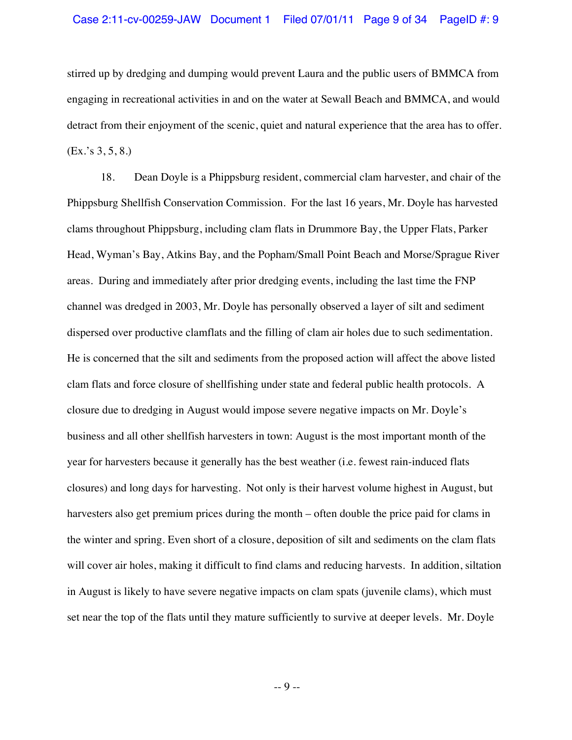stirred up by dredging and dumping would prevent Laura and the public users of BMMCA from engaging in recreational activities in and on the water at Sewall Beach and BMMCA, and would detract from their enjoyment of the scenic, quiet and natural experience that the area has to offer. (Ex.'s 3, 5, 8.)

18. Dean Doyle is a Phippsburg resident, commercial clam harvester, and chair of the Phippsburg Shellfish Conservation Commission. For the last 16 years, Mr. Doyle has harvested clams throughout Phippsburg, including clam flats in Drummore Bay, the Upper Flats, Parker Head, Wyman's Bay, Atkins Bay, and the Popham/Small Point Beach and Morse/Sprague River areas. During and immediately after prior dredging events, including the last time the FNP channel was dredged in 2003, Mr. Doyle has personally observed a layer of silt and sediment dispersed over productive clamflats and the filling of clam air holes due to such sedimentation. He is concerned that the silt and sediments from the proposed action will affect the above listed clam flats and force closure of shellfishing under state and federal public health protocols. A closure due to dredging in August would impose severe negative impacts on Mr. Doyle's business and all other shellfish harvesters in town: August is the most important month of the year for harvesters because it generally has the best weather (i.e. fewest rain-induced flats closures) and long days for harvesting. Not only is their harvest volume highest in August, but harvesters also get premium prices during the month – often double the price paid for clams in the winter and spring. Even short of a closure, deposition of silt and sediments on the clam flats will cover air holes, making it difficult to find clams and reducing harvests. In addition, siltation in August is likely to have severe negative impacts on clam spats (juvenile clams), which must set near the top of the flats until they mature sufficiently to survive at deeper levels. Mr. Doyle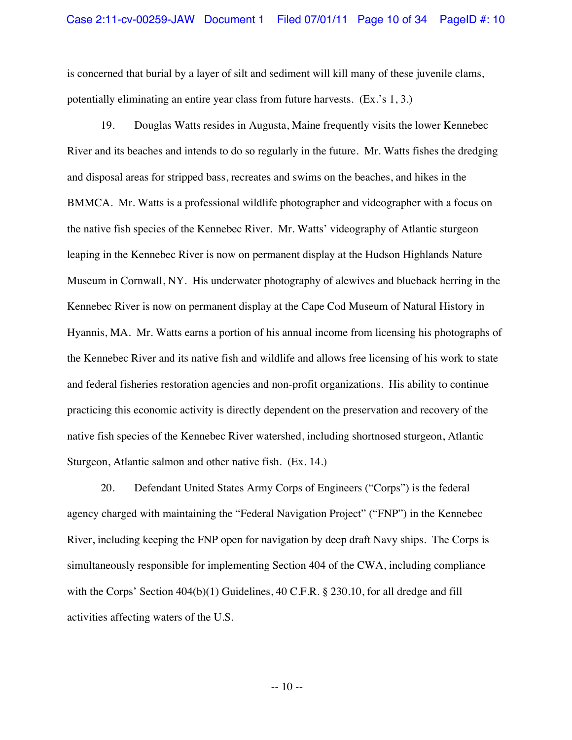is concerned that burial by a layer of silt and sediment will kill many of these juvenile clams, potentially eliminating an entire year class from future harvests. (Ex.'s 1, 3.)

19. Douglas Watts resides in Augusta, Maine frequently visits the lower Kennebec River and its beaches and intends to do so regularly in the future. Mr. Watts fishes the dredging and disposal areas for stripped bass, recreates and swims on the beaches, and hikes in the BMMCA. Mr. Watts is a professional wildlife photographer and videographer with a focus on the native fish species of the Kennebec River. Mr. Watts' videography of Atlantic sturgeon leaping in the Kennebec River is now on permanent display at the Hudson Highlands Nature Museum in Cornwall, NY. His underwater photography of alewives and blueback herring in the Kennebec River is now on permanent display at the Cape Cod Museum of Natural History in Hyannis, MA. Mr. Watts earns a portion of his annual income from licensing his photographs of the Kennebec River and its native fish and wildlife and allows free licensing of his work to state and federal fisheries restoration agencies and non-profit organizations. His ability to continue practicing this economic activity is directly dependent on the preservation and recovery of the native fish species of the Kennebec River watershed, including shortnosed sturgeon, Atlantic Sturgeon, Atlantic salmon and other native fish. (Ex. 14.)

20. Defendant United States Army Corps of Engineers ("Corps") is the federal agency charged with maintaining the "Federal Navigation Project" ("FNP") in the Kennebec River, including keeping the FNP open for navigation by deep draft Navy ships. The Corps is simultaneously responsible for implementing Section 404 of the CWA, including compliance with the Corps' Section  $404(b)(1)$  Guidelines,  $40$  C.F.R. § 230.10, for all dredge and fill activities affecting waters of the U.S.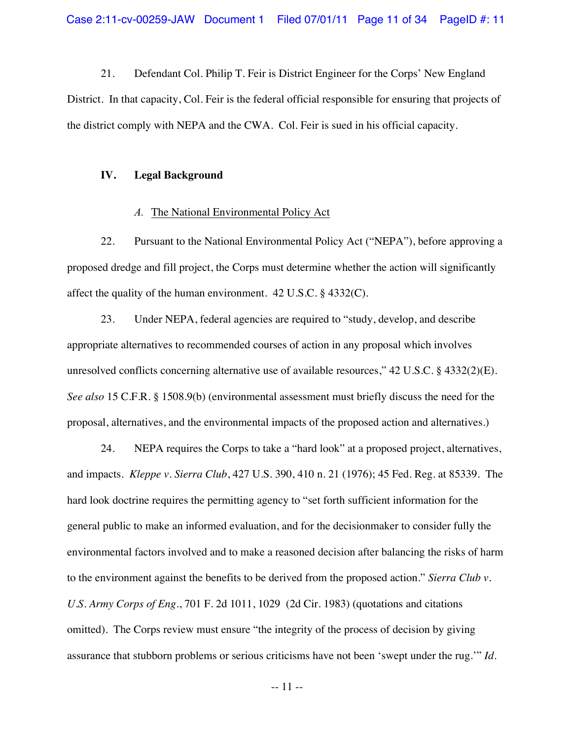21. Defendant Col. Philip T. Feir is District Engineer for the Corps' New England District. In that capacity, Col. Feir is the federal official responsible for ensuring that projects of the district comply with NEPA and the CWA. Col. Feir is sued in his official capacity.

#### **IV. Legal Background**

#### *A.* The National Environmental Policy Act

22. Pursuant to the National Environmental Policy Act ("NEPA"), before approving a proposed dredge and fill project, the Corps must determine whether the action will significantly affect the quality of the human environment. 42 U.S.C. § 4332(C).

23. Under NEPA, federal agencies are required to "study, develop, and describe appropriate alternatives to recommended courses of action in any proposal which involves unresolved conflicts concerning alternative use of available resources,"  $42 \text{ U.S.C.}$  §  $4332(2)(E)$ . *See also* 15 C.F.R. § 1508.9(b) (environmental assessment must briefly discuss the need for the proposal, alternatives, and the environmental impacts of the proposed action and alternatives.)

24. NEPA requires the Corps to take a "hard look" at a proposed project, alternatives, and impacts. *Kleppe v. Sierra Club*, 427 U.S. 390, 410 n. 21 (1976); 45 Fed. Reg. at 85339. The hard look doctrine requires the permitting agency to "set forth sufficient information for the general public to make an informed evaluation, and for the decisionmaker to consider fully the environmental factors involved and to make a reasoned decision after balancing the risks of harm to the environment against the benefits to be derived from the proposed action." *Sierra Club v. U.S. Army Corps of Eng*., 701 F. 2d 1011, 1029 (2d Cir. 1983) (quotations and citations omitted). The Corps review must ensure "the integrity of the process of decision by giving assurance that stubborn problems or serious criticisms have not been 'swept under the rug.'" *Id*.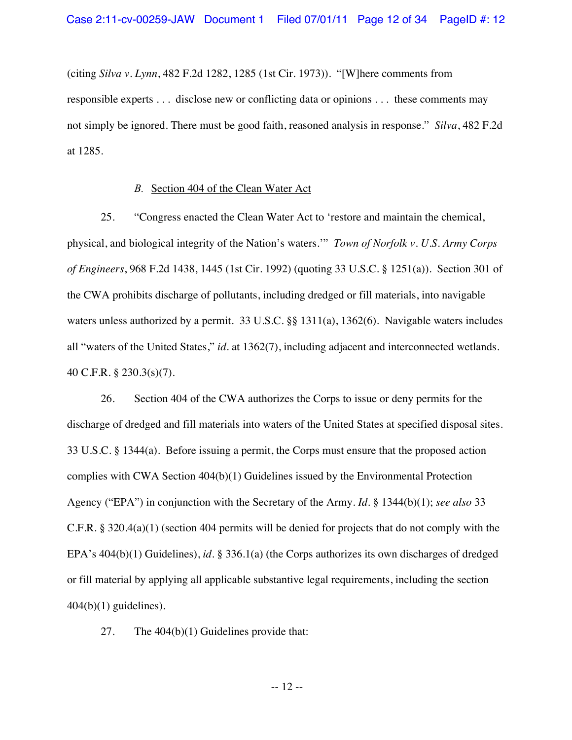(citing *Silva v. Lynn*, 482 F.2d 1282, 1285 (1st Cir. 1973)). "[W]here comments from responsible experts . . . disclose new or conflicting data or opinions . . . these comments may not simply be ignored. There must be good faith, reasoned analysis in response." *Silva*, 482 F.2d at 1285.

### *B.* Section 404 of the Clean Water Act

25. "Congress enacted the Clean Water Act to 'restore and maintain the chemical, physical, and biological integrity of the Nation's waters.'" *Town of Norfolk v. U.S. Army Corps of Engineers*, 968 F.2d 1438, 1445 (1st Cir. 1992) (quoting 33 U.S.C. § 1251(a)). Section 301 of the CWA prohibits discharge of pollutants, including dredged or fill materials, into navigable waters unless authorized by a permit. 33 U.S.C. §§ 1311(a), 1362(6). Navigable waters includes all "waters of the United States," *id*. at 1362(7), including adjacent and interconnected wetlands. 40 C.F.R. § 230.3(s)(7).

26. Section 404 of the CWA authorizes the Corps to issue or deny permits for the discharge of dredged and fill materials into waters of the United States at specified disposal sites. 33 U.S.C. § 1344(a). Before issuing a permit, the Corps must ensure that the proposed action complies with CWA Section 404(b)(1) Guidelines issued by the Environmental Protection Agency ("EPA") in conjunction with the Secretary of the Army. *Id*. § 1344(b)(1); *see also* 33 C.F.R. § 320.4(a)(1) (section 404 permits will be denied for projects that do not comply with the EPA's 404(b)(1) Guidelines), *id*. § 336.1(a) (the Corps authorizes its own discharges of dredged or fill material by applying all applicable substantive legal requirements, including the section  $404(b)(1)$  guidelines).

27. The 404(b)(1) Guidelines provide that: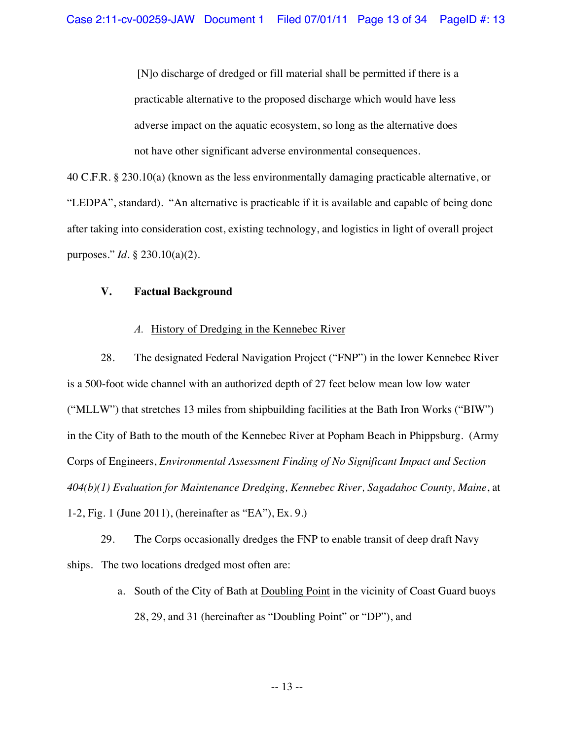[N]o discharge of dredged or fill material shall be permitted if there is a practicable alternative to the proposed discharge which would have less adverse impact on the aquatic ecosystem, so long as the alternative does not have other significant adverse environmental consequences.

40 C.F.R. § 230.10(a) (known as the less environmentally damaging practicable alternative, or "LEDPA", standard). "An alternative is practicable if it is available and capable of being done after taking into consideration cost, existing technology, and logistics in light of overall project purposes." *Id*. § 230.10(a)(2).

## **V. Factual Background**

## *A.* History of Dredging in the Kennebec River

28. The designated Federal Navigation Project ("FNP") in the lower Kennebec River is a 500-foot wide channel with an authorized depth of 27 feet below mean low low water ("MLLW") that stretches 13 miles from shipbuilding facilities at the Bath Iron Works ("BIW") in the City of Bath to the mouth of the Kennebec River at Popham Beach in Phippsburg. (Army Corps of Engineers, *Environmental Assessment Finding of No Significant Impact and Section 404(b)(1) Evaluation for Maintenance Dredging, Kennebec River, Sagadahoc County, Maine*, at 1-2, Fig. 1 (June 2011), (hereinafter as "EA"), Ex. 9.)

29. The Corps occasionally dredges the FNP to enable transit of deep draft Navy ships. The two locations dredged most often are:

> a. South of the City of Bath at Doubling Point in the vicinity of Coast Guard buoys 28, 29, and 31 (hereinafter as "Doubling Point" or "DP"), and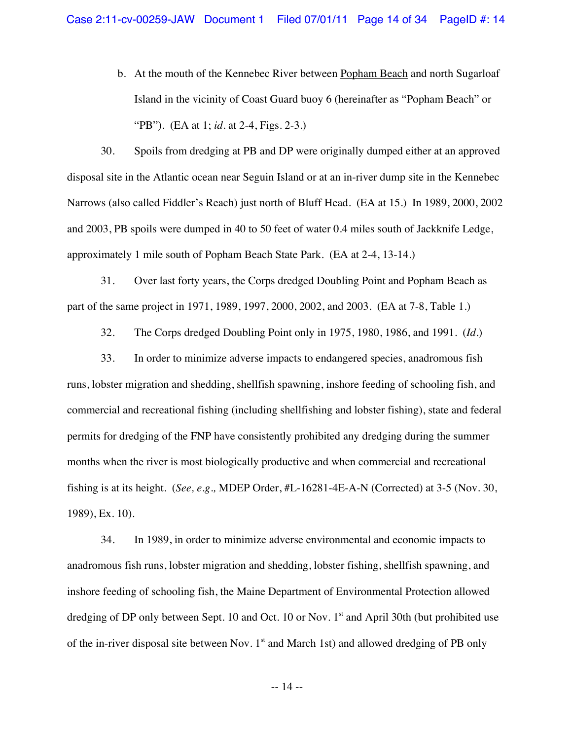b. At the mouth of the Kennebec River between Popham Beach and north Sugarloaf Island in the vicinity of Coast Guard buoy 6 (hereinafter as "Popham Beach" or "PB"). (EA at 1; *id*. at 2-4, Figs. 2-3.)

30. Spoils from dredging at PB and DP were originally dumped either at an approved disposal site in the Atlantic ocean near Seguin Island or at an in-river dump site in the Kennebec Narrows (also called Fiddler's Reach) just north of Bluff Head. (EA at 15.) In 1989, 2000, 2002 and 2003, PB spoils were dumped in 40 to 50 feet of water 0.4 miles south of Jackknife Ledge, approximately 1 mile south of Popham Beach State Park. (EA at 2-4, 13-14.)

31. Over last forty years, the Corps dredged Doubling Point and Popham Beach as part of the same project in 1971, 1989, 1997, 2000, 2002, and 2003. (EA at 7-8, Table 1.)

32. The Corps dredged Doubling Point only in 1975, 1980, 1986, and 1991. (*Id.*)

33. In order to minimize adverse impacts to endangered species, anadromous fish runs, lobster migration and shedding, shellfish spawning, inshore feeding of schooling fish, and commercial and recreational fishing (including shellfishing and lobster fishing), state and federal permits for dredging of the FNP have consistently prohibited any dredging during the summer months when the river is most biologically productive and when commercial and recreational fishing is at its height. (*See, e.g.,* MDEP Order, #L-16281-4E-A-N (Corrected) at 3-5 (Nov. 30, 1989), Ex. 10).

34. In 1989, in order to minimize adverse environmental and economic impacts to anadromous fish runs, lobster migration and shedding, lobster fishing, shellfish spawning, and inshore feeding of schooling fish, the Maine Department of Environmental Protection allowed dredging of DP only between Sept. 10 and Oct. 10 or Nov.  $1<sup>st</sup>$  and April 30th (but prohibited use of the in-river disposal site between Nov.  $1<sup>st</sup>$  and March 1st) and allowed dredging of PB only

-- 14 --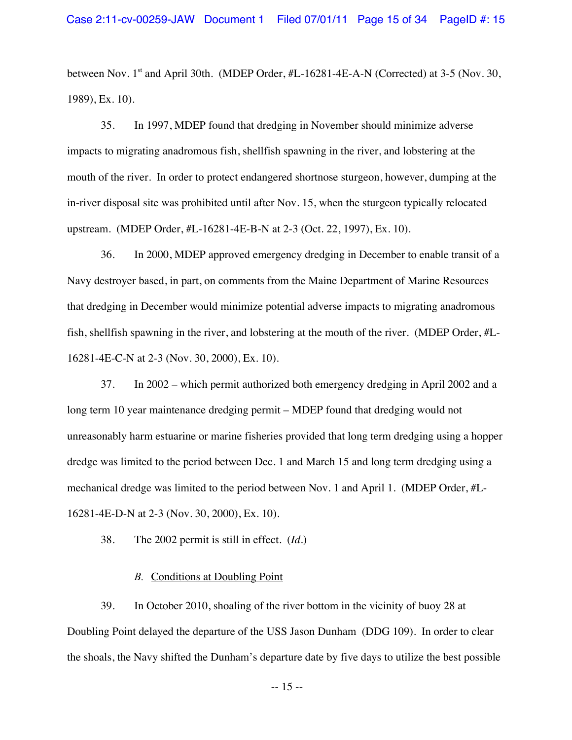between Nov. 1<sup>st</sup> and April 30th. (MDEP Order, #L-16281-4E-A-N (Corrected) at 3-5 (Nov. 30, 1989), Ex. 10).

35. In 1997, MDEP found that dredging in November should minimize adverse impacts to migrating anadromous fish, shellfish spawning in the river, and lobstering at the mouth of the river. In order to protect endangered shortnose sturgeon, however, dumping at the in-river disposal site was prohibited until after Nov. 15, when the sturgeon typically relocated upstream. (MDEP Order, #L-16281-4E-B-N at 2-3 (Oct. 22, 1997), Ex. 10).

36. In 2000, MDEP approved emergency dredging in December to enable transit of a Navy destroyer based, in part, on comments from the Maine Department of Marine Resources that dredging in December would minimize potential adverse impacts to migrating anadromous fish, shellfish spawning in the river, and lobstering at the mouth of the river. (MDEP Order, #L-16281-4E-C-N at 2-3 (Nov. 30, 2000), Ex. 10).

37. In 2002 – which permit authorized both emergency dredging in April 2002 and a long term 10 year maintenance dredging permit – MDEP found that dredging would not unreasonably harm estuarine or marine fisheries provided that long term dredging using a hopper dredge was limited to the period between Dec. 1 and March 15 and long term dredging using a mechanical dredge was limited to the period between Nov. 1 and April 1. (MDEP Order, #L-16281-4E-D-N at 2-3 (Nov. 30, 2000), Ex. 10).

38. The 2002 permit is still in effect. (*Id*.)

## *B.* Conditions at Doubling Point

39. In October 2010, shoaling of the river bottom in the vicinity of buoy 28 at Doubling Point delayed the departure of the USS Jason Dunham (DDG 109). In order to clear the shoals, the Navy shifted the Dunham's departure date by five days to utilize the best possible

-- 15 --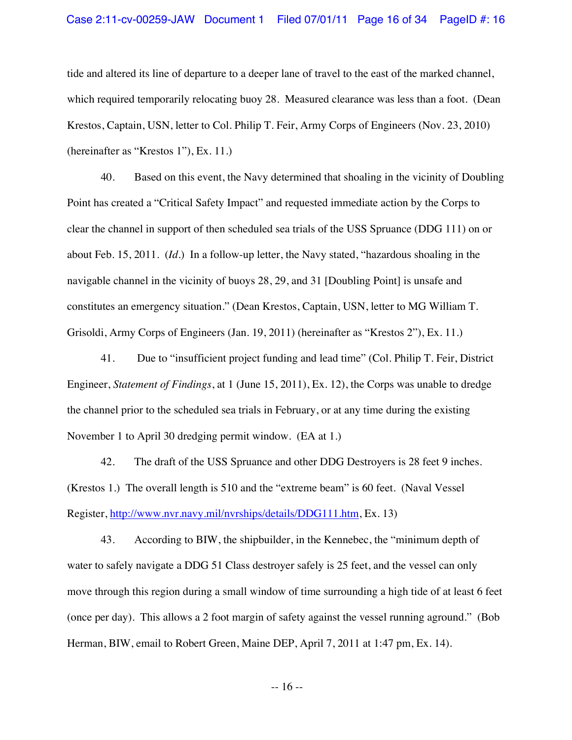## Case 2:11-cv-00259-JAW Document 1 Filed 07/01/11 Page 16 of 34 PageID #: 16

tide and altered its line of departure to a deeper lane of travel to the east of the marked channel, which required temporarily relocating buoy 28. Measured clearance was less than a foot. (Dean Krestos, Captain, USN, letter to Col. Philip T. Feir, Army Corps of Engineers (Nov. 23, 2010) (hereinafter as "Krestos 1"), Ex. 11.)

40. Based on this event, the Navy determined that shoaling in the vicinity of Doubling Point has created a "Critical Safety Impact" and requested immediate action by the Corps to clear the channel in support of then scheduled sea trials of the USS Spruance (DDG 111) on or about Feb. 15, 2011. (*Id*.) In a follow-up letter, the Navy stated, "hazardous shoaling in the navigable channel in the vicinity of buoys 28, 29, and 31 [Doubling Point] is unsafe and constitutes an emergency situation." (Dean Krestos, Captain, USN, letter to MG William T. Grisoldi, Army Corps of Engineers (Jan. 19, 2011) (hereinafter as "Krestos 2"), Ex. 11.)

41. Due to "insufficient project funding and lead time" (Col. Philip T. Feir, District Engineer, *Statement of Findings*, at 1 (June 15, 2011), Ex. 12), the Corps was unable to dredge the channel prior to the scheduled sea trials in February, or at any time during the existing November 1 to April 30 dredging permit window. (EA at 1.)

42. The draft of the USS Spruance and other DDG Destroyers is 28 feet 9 inches. (Krestos 1.) The overall length is 510 and the "extreme beam" is 60 feet. (Naval Vessel Register, http://www.nvr.navy.mil/nvrships/details/DDG111.htm, Ex. 13)

43. According to BIW, the shipbuilder, in the Kennebec, the "minimum depth of water to safely navigate a DDG 51 Class destroyer safely is 25 feet, and the vessel can only move through this region during a small window of time surrounding a high tide of at least 6 feet (once per day). This allows a 2 foot margin of safety against the vessel running aground." (Bob Herman, BIW, email to Robert Green, Maine DEP, April 7, 2011 at 1:47 pm, Ex. 14).

-- 16 --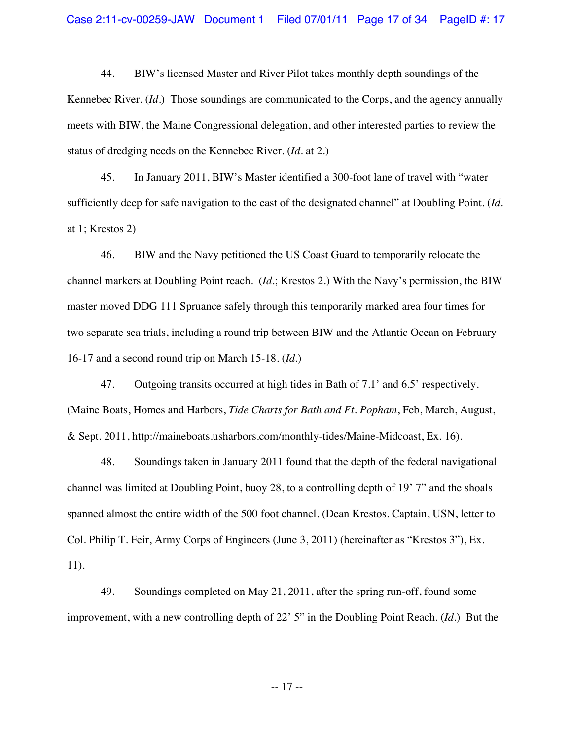44. BIW's licensed Master and River Pilot takes monthly depth soundings of the Kennebec River. (*Id*.) Those soundings are communicated to the Corps, and the agency annually meets with BIW, the Maine Congressional delegation, and other interested parties to review the status of dredging needs on the Kennebec River. (*Id*. at 2.)

45. In January 2011, BIW's Master identified a 300-foot lane of travel with "water sufficiently deep for safe navigation to the east of the designated channel" at Doubling Point. (*Id*. at 1; Krestos 2)

46. BIW and the Navy petitioned the US Coast Guard to temporarily relocate the channel markers at Doubling Point reach. (*Id*.; Krestos 2.) With the Navy's permission, the BIW master moved DDG 111 Spruance safely through this temporarily marked area four times for two separate sea trials, including a round trip between BIW and the Atlantic Ocean on February 16-17 and a second round trip on March 15-18. (*Id*.)

47. Outgoing transits occurred at high tides in Bath of 7.1' and 6.5' respectively. (Maine Boats, Homes and Harbors, *Tide Charts for Bath and Ft. Popham*, Feb, March, August, & Sept. 2011, http://maineboats.usharbors.com/monthly-tides/Maine-Midcoast, Ex. 16).

48. Soundings taken in January 2011 found that the depth of the federal navigational channel was limited at Doubling Point, buoy 28, to a controlling depth of 19' 7" and the shoals spanned almost the entire width of the 500 foot channel. (Dean Krestos, Captain, USN, letter to Col. Philip T. Feir, Army Corps of Engineers (June 3, 2011) (hereinafter as "Krestos 3"), Ex. 11).

49. Soundings completed on May 21, 2011, after the spring run-off, found some improvement, with a new controlling depth of 22' 5" in the Doubling Point Reach. (*Id*.) But the

-- 17 --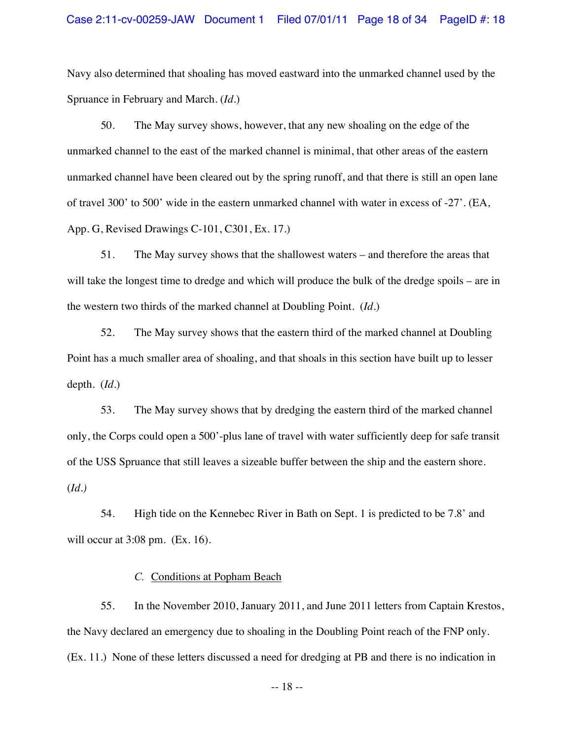## Case 2:11-cv-00259-JAW Document 1 Filed 07/01/11 Page 18 of 34 PageID #: 18

Navy also determined that shoaling has moved eastward into the unmarked channel used by the Spruance in February and March. (*Id*.)

50. The May survey shows, however, that any new shoaling on the edge of the unmarked channel to the east of the marked channel is minimal, that other areas of the eastern unmarked channel have been cleared out by the spring runoff, and that there is still an open lane of travel 300' to 500' wide in the eastern unmarked channel with water in excess of -27'. (EA, App. G, Revised Drawings C-101, C301, Ex. 17.)

51. The May survey shows that the shallowest waters – and therefore the areas that will take the longest time to dredge and which will produce the bulk of the dredge spoils – are in the western two thirds of the marked channel at Doubling Point. (*Id*.)

52. The May survey shows that the eastern third of the marked channel at Doubling Point has a much smaller area of shoaling, and that shoals in this section have built up to lesser depth. (*Id*.)

53. The May survey shows that by dredging the eastern third of the marked channel only, the Corps could open a 500'-plus lane of travel with water sufficiently deep for safe transit of the USS Spruance that still leaves a sizeable buffer between the ship and the eastern shore. (*Id.)*

54. High tide on the Kennebec River in Bath on Sept. 1 is predicted to be 7.8' and will occur at 3:08 pm. (Ex. 16).

## *C.* Conditions at Popham Beach

55. In the November 2010, January 2011, and June 2011 letters from Captain Krestos, the Navy declared an emergency due to shoaling in the Doubling Point reach of the FNP only. (Ex. 11.) None of these letters discussed a need for dredging at PB and there is no indication in

-- 18 --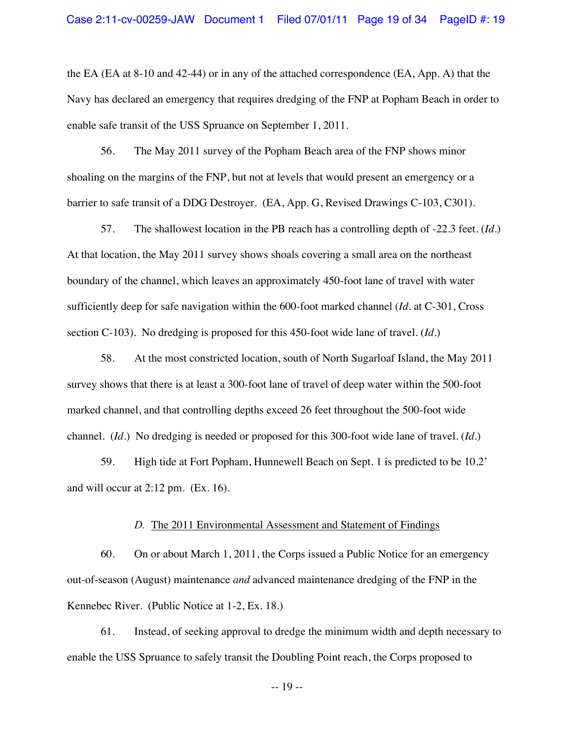the EA (EA at 8-10 and 42-44) or in any of the attached correspondence (EA, App. A) that the Navy has declared an emergency that requires dredging of the FNP at Popham Beach in order to enable safe transit of the USS Spruance on September 1, 2011.

56. The May 2011 survey of the Popham Beach area of the FNP shows minor shoaling on the margins of the FNP, but not at levels that would present an emergency or a barrier to safe transit of a DDG Destroyer. (EA, App. G, Revised Drawings C-103, C301).

57. The shallowest location in the PB reach has a controlling depth of -22.3 feet. (*Id*.) At that location, the May 2011 survey shows shoals covering a small area on the northeast boundary of the channel, which leaves an approximately 450-foot lane of travel with water sufficiently deep for safe navigation within the 600-foot marked channel (*Id*. at C-301, Cross section C-103). No dredging is proposed for this 450-foot wide lane of travel. (*Id*.)

58. At the most constricted location, south of North Sugarloaf Island, the May 2011 survey shows that there is at least a 300-foot lane of travel of deep water within the 500-foot marked channel, and that controlling depths exceed 26 feet throughout the 500-foot wide channel. (*Id*.) No dredging is needed or proposed for this 300-foot wide lane of travel. (*Id*.)

59. High tide at Fort Popham, Hunnewell Beach on Sept. 1 is predicted to be 10.2' and will occur at 2:12 pm. (Ex. 16).

#### *D.* The 2011 Environmental Assessment and Statement of Findings

60. On or about March 1, 2011, the Corps issued a Public Notice for an emergency out-of-season (August) maintenance *and* advanced maintenance dredging of the FNP in the Kennebec River. (Public Notice at 1-2, Ex. 18.)

61. Instead, of seeking approval to dredge the minimum width and depth necessary to enable the USS Spruance to safely transit the Doubling Point reach, the Corps proposed to

-- 19 --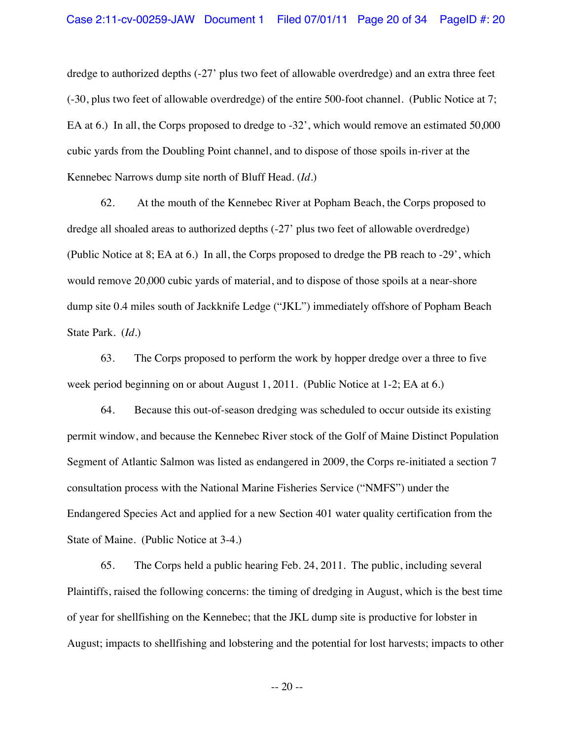dredge to authorized depths (-27' plus two feet of allowable overdredge) and an extra three feet (-30, plus two feet of allowable overdredge) of the entire 500-foot channel. (Public Notice at 7; EA at 6.) In all, the Corps proposed to dredge to -32', which would remove an estimated 50,000 cubic yards from the Doubling Point channel, and to dispose of those spoils in-river at the Kennebec Narrows dump site north of Bluff Head. (*Id*.)

62. At the mouth of the Kennebec River at Popham Beach, the Corps proposed to dredge all shoaled areas to authorized depths (-27' plus two feet of allowable overdredge) (Public Notice at 8; EA at 6.) In all, the Corps proposed to dredge the PB reach to -29', which would remove 20,000 cubic yards of material, and to dispose of those spoils at a near-shore dump site 0.4 miles south of Jackknife Ledge ("JKL") immediately offshore of Popham Beach State Park. (*Id*.)

63. The Corps proposed to perform the work by hopper dredge over a three to five week period beginning on or about August 1, 2011. (Public Notice at 1-2; EA at 6.)

64. Because this out-of-season dredging was scheduled to occur outside its existing permit window, and because the Kennebec River stock of the Golf of Maine Distinct Population Segment of Atlantic Salmon was listed as endangered in 2009, the Corps re-initiated a section 7 consultation process with the National Marine Fisheries Service ("NMFS") under the Endangered Species Act and applied for a new Section 401 water quality certification from the State of Maine. (Public Notice at 3-4.)

65. The Corps held a public hearing Feb. 24, 2011. The public, including several Plaintiffs, raised the following concerns: the timing of dredging in August, which is the best time of year for shellfishing on the Kennebec; that the JKL dump site is productive for lobster in August; impacts to shellfishing and lobstering and the potential for lost harvests; impacts to other

-- 20 --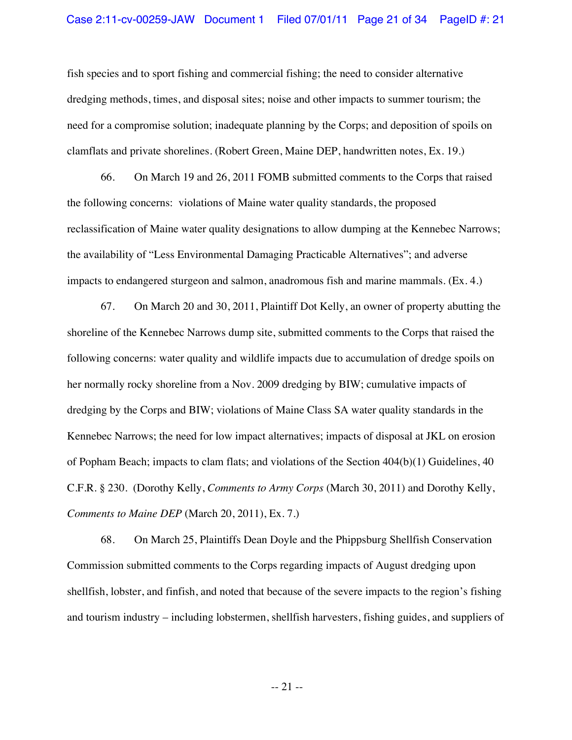fish species and to sport fishing and commercial fishing; the need to consider alternative dredging methods, times, and disposal sites; noise and other impacts to summer tourism; the need for a compromise solution; inadequate planning by the Corps; and deposition of spoils on clamflats and private shorelines. (Robert Green, Maine DEP, handwritten notes, Ex. 19.)

66. On March 19 and 26, 2011 FOMB submitted comments to the Corps that raised the following concerns: violations of Maine water quality standards, the proposed reclassification of Maine water quality designations to allow dumping at the Kennebec Narrows; the availability of "Less Environmental Damaging Practicable Alternatives"; and adverse impacts to endangered sturgeon and salmon, anadromous fish and marine mammals. (Ex. 4.)

67. On March 20 and 30, 2011, Plaintiff Dot Kelly, an owner of property abutting the shoreline of the Kennebec Narrows dump site, submitted comments to the Corps that raised the following concerns: water quality and wildlife impacts due to accumulation of dredge spoils on her normally rocky shoreline from a Nov. 2009 dredging by BIW; cumulative impacts of dredging by the Corps and BIW; violations of Maine Class SA water quality standards in the Kennebec Narrows; the need for low impact alternatives; impacts of disposal at JKL on erosion of Popham Beach; impacts to clam flats; and violations of the Section 404(b)(1) Guidelines, 40 C.F.R. § 230. (Dorothy Kelly, *Comments to Army Corps* (March 30, 2011) and Dorothy Kelly, *Comments to Maine DEP* (March 20, 2011), Ex. 7.)

68. On March 25, Plaintiffs Dean Doyle and the Phippsburg Shellfish Conservation Commission submitted comments to the Corps regarding impacts of August dredging upon shellfish, lobster, and finfish, and noted that because of the severe impacts to the region's fishing and tourism industry – including lobstermen, shellfish harvesters, fishing guides, and suppliers of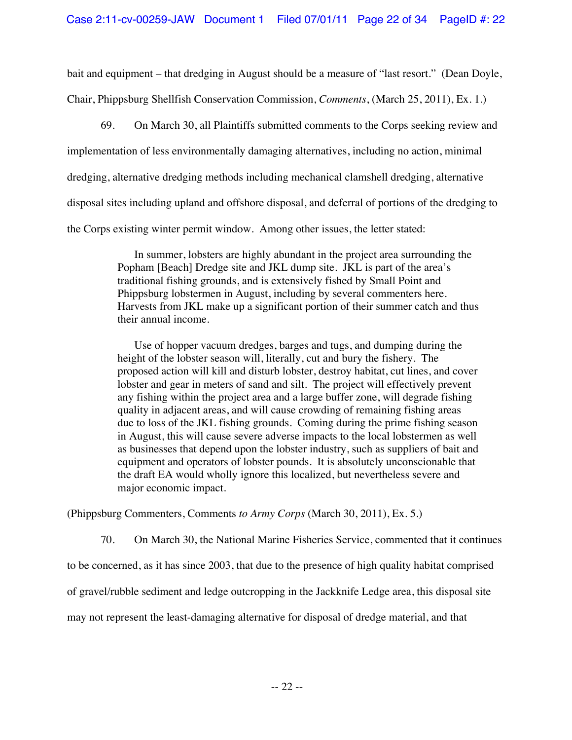bait and equipment – that dredging in August should be a measure of "last resort." (Dean Doyle, Chair, Phippsburg Shellfish Conservation Commission, *Comments*, (March 25, 2011), Ex. 1.)

69. On March 30, all Plaintiffs submitted comments to the Corps seeking review and implementation of less environmentally damaging alternatives, including no action, minimal dredging, alternative dredging methods including mechanical clamshell dredging, alternative disposal sites including upland and offshore disposal, and deferral of portions of the dredging to the Corps existing winter permit window. Among other issues, the letter stated:

> In summer, lobsters are highly abundant in the project area surrounding the Popham [Beach] Dredge site and JKL dump site. JKL is part of the area's traditional fishing grounds, and is extensively fished by Small Point and Phippsburg lobstermen in August, including by several commenters here. Harvests from JKL make up a significant portion of their summer catch and thus their annual income.

> Use of hopper vacuum dredges, barges and tugs, and dumping during the height of the lobster season will, literally, cut and bury the fishery. The proposed action will kill and disturb lobster, destroy habitat, cut lines, and cover lobster and gear in meters of sand and silt. The project will effectively prevent any fishing within the project area and a large buffer zone, will degrade fishing quality in adjacent areas, and will cause crowding of remaining fishing areas due to loss of the JKL fishing grounds. Coming during the prime fishing season in August, this will cause severe adverse impacts to the local lobstermen as well as businesses that depend upon the lobster industry, such as suppliers of bait and equipment and operators of lobster pounds. It is absolutely unconscionable that the draft EA would wholly ignore this localized, but nevertheless severe and major economic impact.

(Phippsburg Commenters, Comments *to Army Corps* (March 30, 2011), Ex. 5.)

70. On March 30, the National Marine Fisheries Service, commented that it continues

to be concerned, as it has since 2003, that due to the presence of high quality habitat comprised

of gravel/rubble sediment and ledge outcropping in the Jackknife Ledge area, this disposal site

may not represent the least-damaging alternative for disposal of dredge material, and that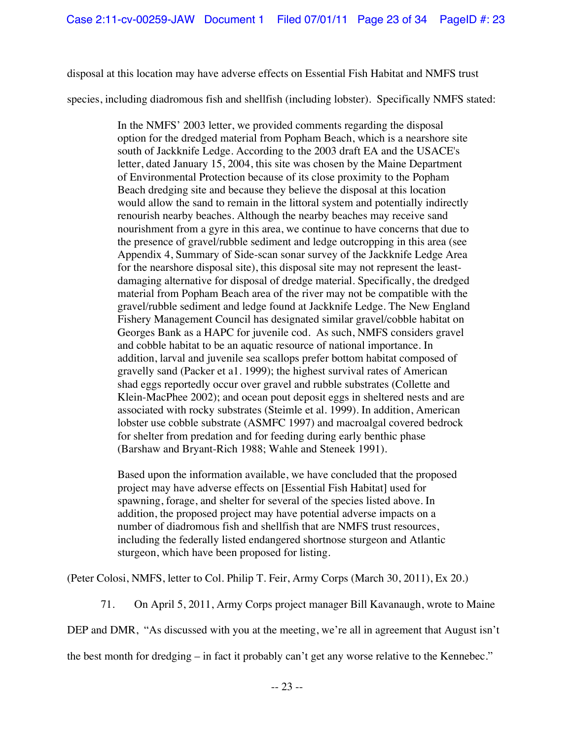disposal at this location may have adverse effects on Essential Fish Habitat and NMFS trust

species, including diadromous fish and shellfish (including lobster). Specifically NMFS stated:

In the NMFS' 2003 letter, we provided comments regarding the disposal option for the dredged material from Popham Beach, which is a nearshore site south of Jackknife Ledge. According to the 2003 draft EA and the USACE's letter, dated January 15, 2004, this site was chosen by the Maine Department of Environmental Protection because of its close proximity to the Popham Beach dredging site and because they believe the disposal at this location would allow the sand to remain in the littoral system and potentially indirectly renourish nearby beaches. Although the nearby beaches may receive sand nourishment from a gyre in this area, we continue to have concerns that due to the presence of gravel/rubble sediment and ledge outcropping in this area (see Appendix 4, Summary of Side-scan sonar survey of the Jackknife Ledge Area for the nearshore disposal site), this disposal site may not represent the leastdamaging alternative for disposal of dredge material. Specifically, the dredged material from Popham Beach area of the river may not be compatible with the gravel/rubble sediment and ledge found at Jackknife Ledge. The New England Fishery Management Council has designated similar gravel/cobble habitat on Georges Bank as a HAPC for juvenile cod. As such, NMFS considers gravel and cobble habitat to be an aquatic resource of national importance. In addition, larval and juvenile sea scallops prefer bottom habitat composed of gravelly sand (Packer et a1. 1999); the highest survival rates of American shad eggs reportedly occur over gravel and rubble substrates (Collette and Klein-MacPhee 2002); and ocean pout deposit eggs in sheltered nests and are associated with rocky substrates (Steimle et al. 1999). In addition, American lobster use cobble substrate (ASMFC 1997) and macroalgal covered bedrock for shelter from predation and for feeding during early benthic phase (Barshaw and Bryant-Rich 1988; Wahle and Steneek 1991).

Based upon the information available, we have concluded that the proposed project may have adverse effects on [Essential Fish Habitat] used for spawning, forage, and shelter for several of the species listed above. In addition, the proposed project may have potential adverse impacts on a number of diadromous fish and shellfish that are NMFS trust resources, including the federally listed endangered shortnose sturgeon and Atlantic sturgeon, which have been proposed for listing.

(Peter Colosi, NMFS, letter to Col. Philip T. Feir, Army Corps (March 30, 2011), Ex 20.)

71. On April 5, 2011, Army Corps project manager Bill Kavanaugh, wrote to Maine

DEP and DMR, "As discussed with you at the meeting, we're all in agreement that August isn't

the best month for dredging – in fact it probably can't get any worse relative to the Kennebec."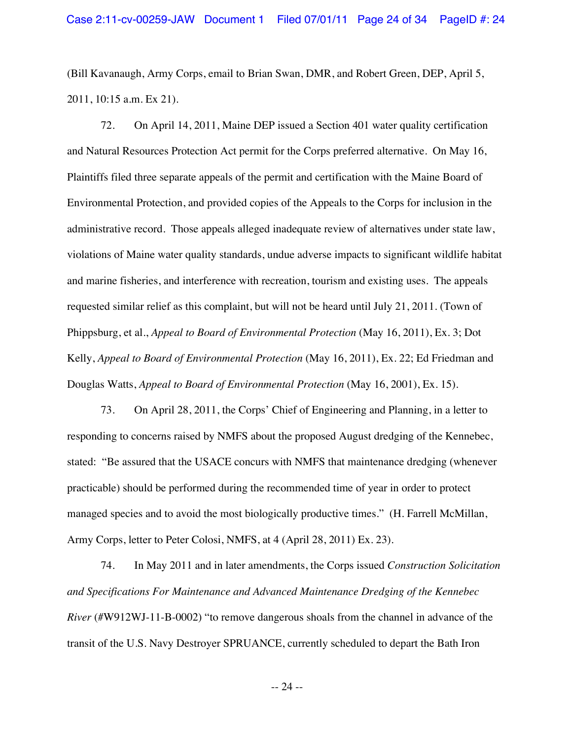(Bill Kavanaugh, Army Corps, email to Brian Swan, DMR, and Robert Green, DEP, April 5, 2011, 10:15 a.m. Ex 21).

72. On April 14, 2011, Maine DEP issued a Section 401 water quality certification and Natural Resources Protection Act permit for the Corps preferred alternative. On May 16, Plaintiffs filed three separate appeals of the permit and certification with the Maine Board of Environmental Protection, and provided copies of the Appeals to the Corps for inclusion in the administrative record. Those appeals alleged inadequate review of alternatives under state law, violations of Maine water quality standards, undue adverse impacts to significant wildlife habitat and marine fisheries, and interference with recreation, tourism and existing uses. The appeals requested similar relief as this complaint, but will not be heard until July 21, 2011. (Town of Phippsburg, et al., *Appeal to Board of Environmental Protection* (May 16, 2011), Ex. 3; Dot Kelly, *Appeal to Board of Environmental Protection* (May 16, 2011), Ex. 22; Ed Friedman and Douglas Watts, *Appeal to Board of Environmental Protection* (May 16, 2001), Ex. 15).

73. On April 28, 2011, the Corps' Chief of Engineering and Planning, in a letter to responding to concerns raised by NMFS about the proposed August dredging of the Kennebec, stated: "Be assured that the USACE concurs with NMFS that maintenance dredging (whenever practicable) should be performed during the recommended time of year in order to protect managed species and to avoid the most biologically productive times." (H. Farrell McMillan, Army Corps, letter to Peter Colosi, NMFS, at 4 (April 28, 2011) Ex. 23).

74. In May 2011 and in later amendments, the Corps issued *Construction Solicitation and Specifications For Maintenance and Advanced Maintenance Dredging of the Kennebec River* (#W912WJ-11-B-0002) "to remove dangerous shoals from the channel in advance of the transit of the U.S. Navy Destroyer SPRUANCE, currently scheduled to depart the Bath Iron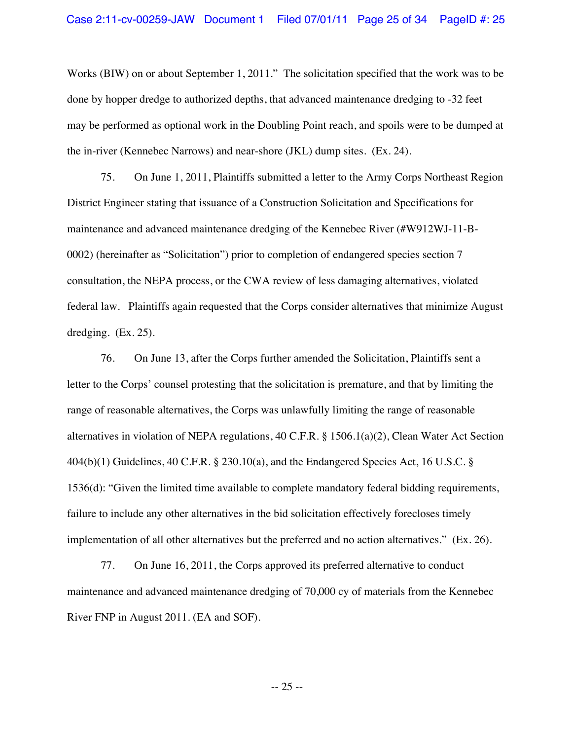Works (BIW) on or about September 1, 2011." The solicitation specified that the work was to be done by hopper dredge to authorized depths, that advanced maintenance dredging to -32 feet may be performed as optional work in the Doubling Point reach, and spoils were to be dumped at the in-river (Kennebec Narrows) and near-shore (JKL) dump sites. (Ex. 24).

75. On June 1, 2011, Plaintiffs submitted a letter to the Army Corps Northeast Region District Engineer stating that issuance of a Construction Solicitation and Specifications for maintenance and advanced maintenance dredging of the Kennebec River (#W912WJ-11-B-0002) (hereinafter as "Solicitation") prior to completion of endangered species section 7 consultation, the NEPA process, or the CWA review of less damaging alternatives, violated federal law. Plaintiffs again requested that the Corps consider alternatives that minimize August dredging. (Ex. 25).

76. On June 13, after the Corps further amended the Solicitation, Plaintiffs sent a letter to the Corps' counsel protesting that the solicitation is premature, and that by limiting the range of reasonable alternatives, the Corps was unlawfully limiting the range of reasonable alternatives in violation of NEPA regulations, 40 C.F.R. § 1506.1(a)(2), Clean Water Act Section 404(b)(1) Guidelines, 40 C.F.R. § 230.10(a), and the Endangered Species Act, 16 U.S.C. § 1536(d): "Given the limited time available to complete mandatory federal bidding requirements, failure to include any other alternatives in the bid solicitation effectively forecloses timely implementation of all other alternatives but the preferred and no action alternatives." (Ex. 26).

77. On June 16, 2011, the Corps approved its preferred alternative to conduct maintenance and advanced maintenance dredging of 70,000 cy of materials from the Kennebec River FNP in August 2011. (EA and SOF).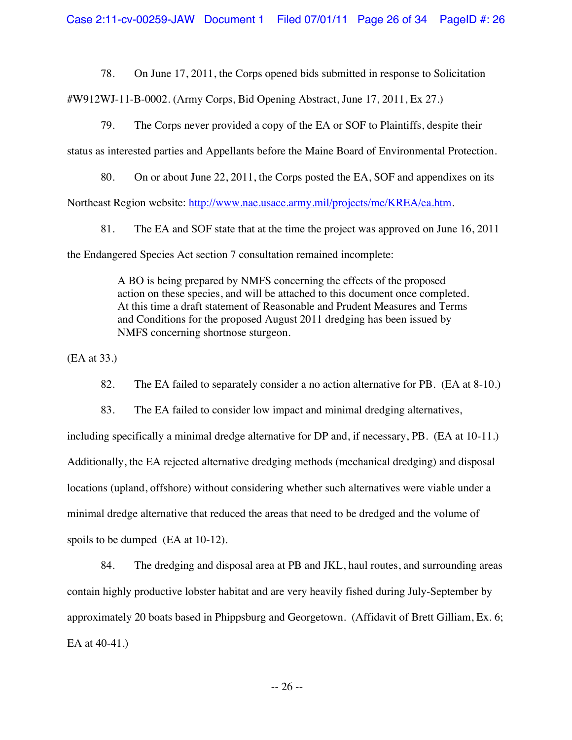78. On June 17, 2011, the Corps opened bids submitted in response to Solicitation

#W912WJ-11-B-0002. (Army Corps, Bid Opening Abstract, June 17, 2011, Ex 27.)

79. The Corps never provided a copy of the EA or SOF to Plaintiffs, despite their

status as interested parties and Appellants before the Maine Board of Environmental Protection.

80. On or about June 22, 2011, the Corps posted the EA, SOF and appendixes on its

Northeast Region website: http://www.nae.usace.army.mil/projects/me/KREA/ea.htm.

81. The EA and SOF state that at the time the project was approved on June 16, 2011 the Endangered Species Act section 7 consultation remained incomplete:

> A BO is being prepared by NMFS concerning the effects of the proposed action on these species, and will be attached to this document once completed. At this time a draft statement of Reasonable and Prudent Measures and Terms and Conditions for the proposed August 2011 dredging has been issued by NMFS concerning shortnose sturgeon.

(EA at 33.)

82. The EA failed to separately consider a no action alternative for PB. (EA at 8-10.)

83. The EA failed to consider low impact and minimal dredging alternatives, including specifically a minimal dredge alternative for DP and, if necessary, PB. (EA at 10-11.) Additionally, the EA rejected alternative dredging methods (mechanical dredging) and disposal locations (upland, offshore) without considering whether such alternatives were viable under a minimal dredge alternative that reduced the areas that need to be dredged and the volume of spoils to be dumped (EA at 10-12).

84. The dredging and disposal area at PB and JKL, haul routes, and surrounding areas contain highly productive lobster habitat and are very heavily fished during July-September by approximately 20 boats based in Phippsburg and Georgetown. (Affidavit of Brett Gilliam, Ex. 6; EA at 40-41.)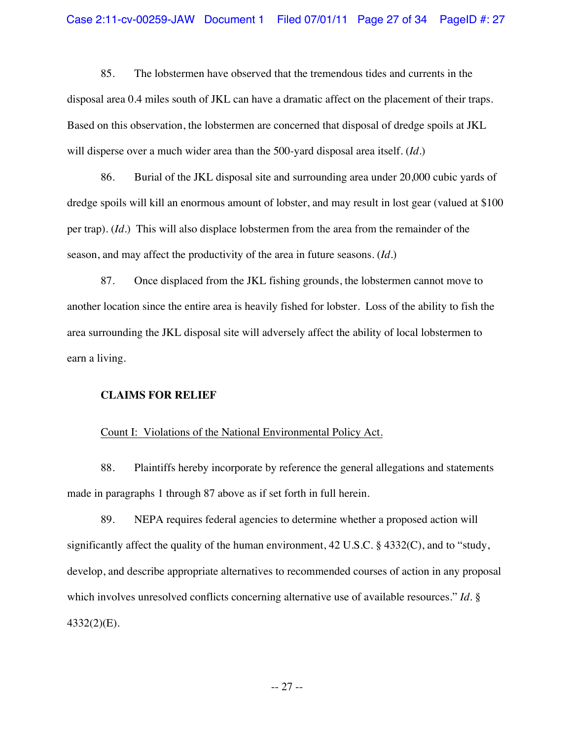85. The lobstermen have observed that the tremendous tides and currents in the disposal area 0.4 miles south of JKL can have a dramatic affect on the placement of their traps. Based on this observation, the lobstermen are concerned that disposal of dredge spoils at JKL will disperse over a much wider area than the 500-yard disposal area itself. (*Id*.)

86. Burial of the JKL disposal site and surrounding area under 20,000 cubic yards of dredge spoils will kill an enormous amount of lobster, and may result in lost gear (valued at \$100 per trap). (*Id*.) This will also displace lobstermen from the area from the remainder of the season, and may affect the productivity of the area in future seasons. (*Id*.)

87. Once displaced from the JKL fishing grounds, the lobstermen cannot move to another location since the entire area is heavily fished for lobster. Loss of the ability to fish the area surrounding the JKL disposal site will adversely affect the ability of local lobstermen to earn a living.

## **CLAIMS FOR RELIEF**

#### Count I: Violations of the National Environmental Policy Act.

88. Plaintiffs hereby incorporate by reference the general allegations and statements made in paragraphs 1 through 87 above as if set forth in full herein.

89. NEPA requires federal agencies to determine whether a proposed action will significantly affect the quality of the human environment,  $42 \text{ U.S.C.}$  §  $4332(\text{C})$ , and to "study, develop, and describe appropriate alternatives to recommended courses of action in any proposal which involves unresolved conflicts concerning alternative use of available resources." *Id*. § 4332(2)(E).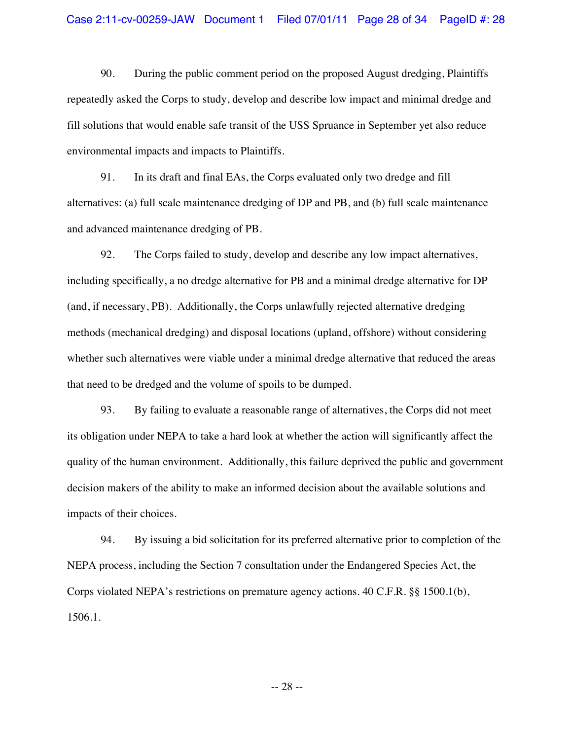90. During the public comment period on the proposed August dredging, Plaintiffs repeatedly asked the Corps to study, develop and describe low impact and minimal dredge and fill solutions that would enable safe transit of the USS Spruance in September yet also reduce environmental impacts and impacts to Plaintiffs.

91. In its draft and final EAs, the Corps evaluated only two dredge and fill alternatives: (a) full scale maintenance dredging of DP and PB, and (b) full scale maintenance and advanced maintenance dredging of PB.

92. The Corps failed to study, develop and describe any low impact alternatives, including specifically, a no dredge alternative for PB and a minimal dredge alternative for DP (and, if necessary, PB). Additionally, the Corps unlawfully rejected alternative dredging methods (mechanical dredging) and disposal locations (upland, offshore) without considering whether such alternatives were viable under a minimal dredge alternative that reduced the areas that need to be dredged and the volume of spoils to be dumped.

93. By failing to evaluate a reasonable range of alternatives, the Corps did not meet its obligation under NEPA to take a hard look at whether the action will significantly affect the quality of the human environment. Additionally, this failure deprived the public and government decision makers of the ability to make an informed decision about the available solutions and impacts of their choices.

94. By issuing a bid solicitation for its preferred alternative prior to completion of the NEPA process, including the Section 7 consultation under the Endangered Species Act, the Corps violated NEPA's restrictions on premature agency actions. 40 C.F.R. §§ 1500.1(b), 1506.1.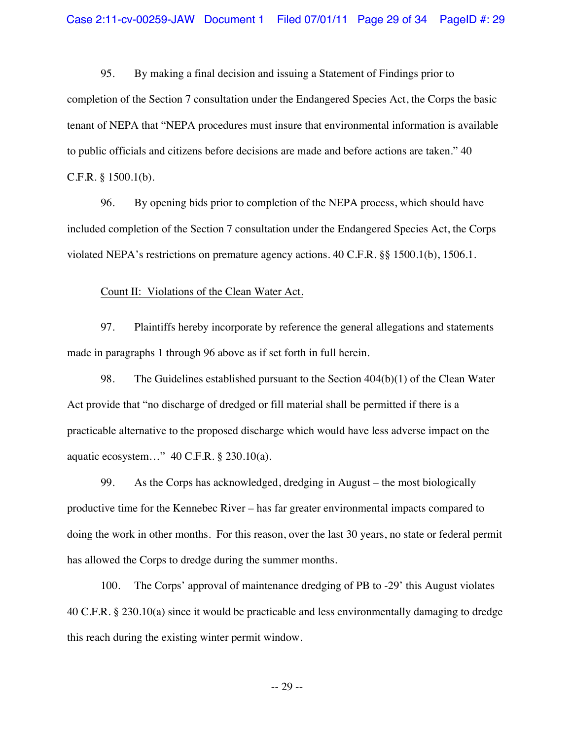95. By making a final decision and issuing a Statement of Findings prior to completion of the Section 7 consultation under the Endangered Species Act, the Corps the basic tenant of NEPA that "NEPA procedures must insure that environmental information is available to public officials and citizens before decisions are made and before actions are taken." 40 C.F.R. § 1500.1(b).

96. By opening bids prior to completion of the NEPA process, which should have included completion of the Section 7 consultation under the Endangered Species Act, the Corps violated NEPA's restrictions on premature agency actions. 40 C.F.R. §§ 1500.1(b), 1506.1.

Count II: Violations of the Clean Water Act.

97. Plaintiffs hereby incorporate by reference the general allegations and statements made in paragraphs 1 through 96 above as if set forth in full herein.

98. The Guidelines established pursuant to the Section 404(b)(1) of the Clean Water Act provide that "no discharge of dredged or fill material shall be permitted if there is a practicable alternative to the proposed discharge which would have less adverse impact on the aquatic ecosystem…" 40 C.F.R. § 230.10(a).

99. As the Corps has acknowledged, dredging in August – the most biologically productive time for the Kennebec River – has far greater environmental impacts compared to doing the work in other months. For this reason, over the last 30 years, no state or federal permit has allowed the Corps to dredge during the summer months.

100. The Corps' approval of maintenance dredging of PB to -29' this August violates 40 C.F.R. § 230.10(a) since it would be practicable and less environmentally damaging to dredge this reach during the existing winter permit window.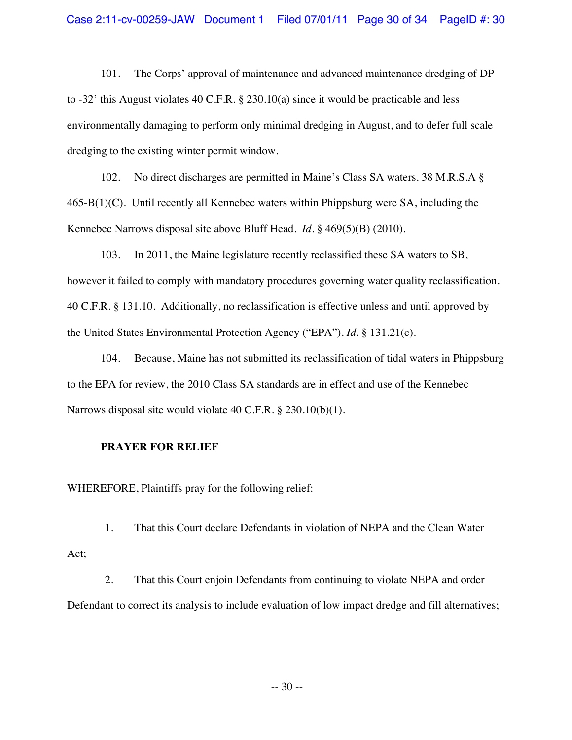101. The Corps' approval of maintenance and advanced maintenance dredging of DP to -32' this August violates 40 C.F.R. § 230.10(a) since it would be practicable and less environmentally damaging to perform only minimal dredging in August, and to defer full scale dredging to the existing winter permit window.

102. No direct discharges are permitted in Maine's Class SA waters. 38 M.R.S.A §  $465-B(1)(C)$ . Until recently all Kennebec waters within Phippsburg were SA, including the Kennebec Narrows disposal site above Bluff Head. *Id*. § 469(5)(B) (2010).

103. In 2011, the Maine legislature recently reclassified these SA waters to SB, however it failed to comply with mandatory procedures governing water quality reclassification. 40 C.F.R. § 131.10. Additionally, no reclassification is effective unless and until approved by the United States Environmental Protection Agency ("EPA"). *Id*. § 131.21(c).

104. Because, Maine has not submitted its reclassification of tidal waters in Phippsburg to the EPA for review, the 2010 Class SA standards are in effect and use of the Kennebec Narrows disposal site would violate 40 C.F.R. § 230.10(b)(1).

## **PRAYER FOR RELIEF**

WHEREFORE, Plaintiffs pray for the following relief:

1. That this Court declare Defendants in violation of NEPA and the Clean Water Act;

2. That this Court enjoin Defendants from continuing to violate NEPA and order Defendant to correct its analysis to include evaluation of low impact dredge and fill alternatives;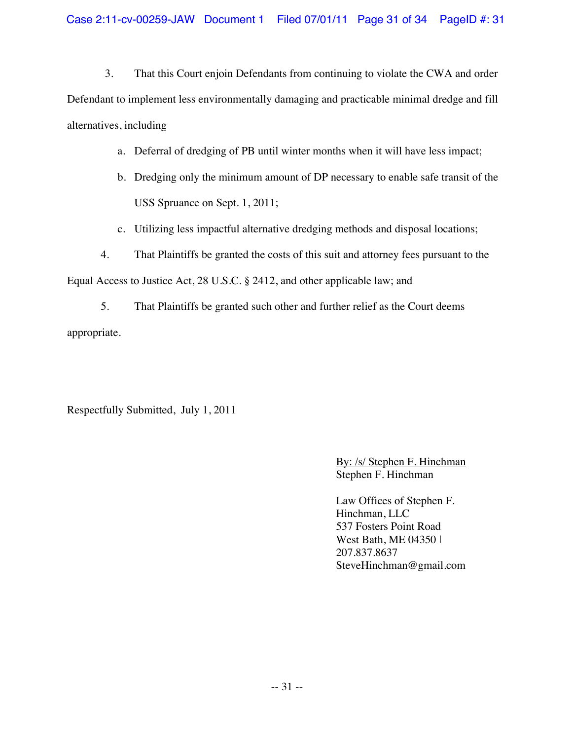3. That this Court enjoin Defendants from continuing to violate the CWA and order Defendant to implement less environmentally damaging and practicable minimal dredge and fill alternatives, including

- a. Deferral of dredging of PB until winter months when it will have less impact;
- b. Dredging only the minimum amount of DP necessary to enable safe transit of the USS Spruance on Sept. 1, 2011;
- c. Utilizing less impactful alternative dredging methods and disposal locations;
- 4. That Plaintiffs be granted the costs of this suit and attorney fees pursuant to the

Equal Access to Justice Act, 28 U.S.C. § 2412, and other applicable law; and

5. That Plaintiffs be granted such other and further relief as the Court deems appropriate.

Respectfully Submitted, July 1, 2011

By: /s/ Stephen F. Hinchman Stephen F. Hinchman

Law Offices of Stephen F. Hinchman, LLC 537 Fosters Point Road West Bath, ME 04350 | 207.837.8637 SteveHinchman@gmail.com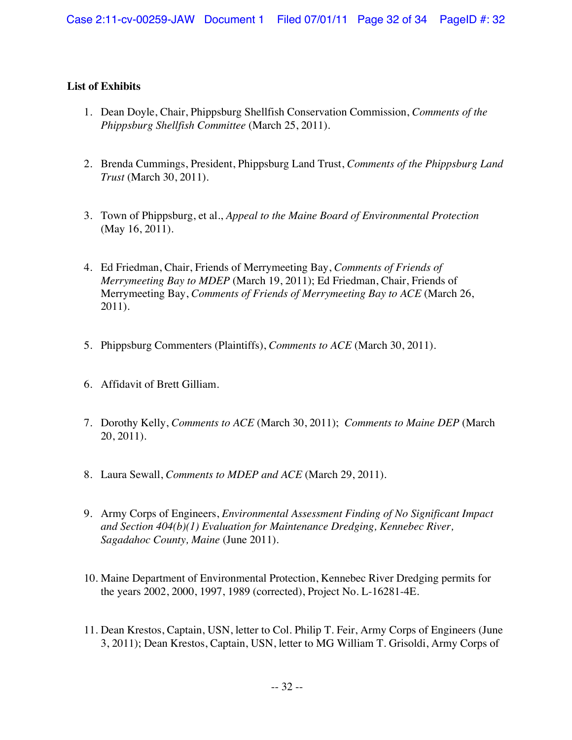# **List of Exhibits**

- 1. Dean Doyle, Chair, Phippsburg Shellfish Conservation Commission, *Comments of the Phippsburg Shellfish Committee* (March 25, 2011).
- 2. Brenda Cummings, President, Phippsburg Land Trust, *Comments of the Phippsburg Land Trust* (March 30, 2011).
- 3. Town of Phippsburg, et al., *Appeal to the Maine Board of Environmental Protection* (May 16, 2011).
- 4. Ed Friedman, Chair, Friends of Merrymeeting Bay, *Comments of Friends of Merrymeeting Bay to MDEP* (March 19, 2011); Ed Friedman, Chair, Friends of Merrymeeting Bay, *Comments of Friends of Merrymeeting Bay to ACE* (March 26, 2011).
- 5. Phippsburg Commenters (Plaintiffs), *Comments to ACE* (March 30, 2011).
- 6. Affidavit of Brett Gilliam.
- 7. Dorothy Kelly, *Comments to ACE* (March 30, 2011); *Comments to Maine DEP* (March 20, 2011).
- 8. Laura Sewall, *Comments to MDEP and ACE* (March 29, 2011).
- 9. Army Corps of Engineers, *Environmental Assessment Finding of No Significant Impact and Section 404(b)(1) Evaluation for Maintenance Dredging, Kennebec River, Sagadahoc County, Maine* (June 2011).
- 10. Maine Department of Environmental Protection, Kennebec River Dredging permits for the years 2002, 2000, 1997, 1989 (corrected), Project No. L-16281-4E.
- 11. Dean Krestos, Captain, USN, letter to Col. Philip T. Feir, Army Corps of Engineers (June 3, 2011); Dean Krestos, Captain, USN, letter to MG William T. Grisoldi, Army Corps of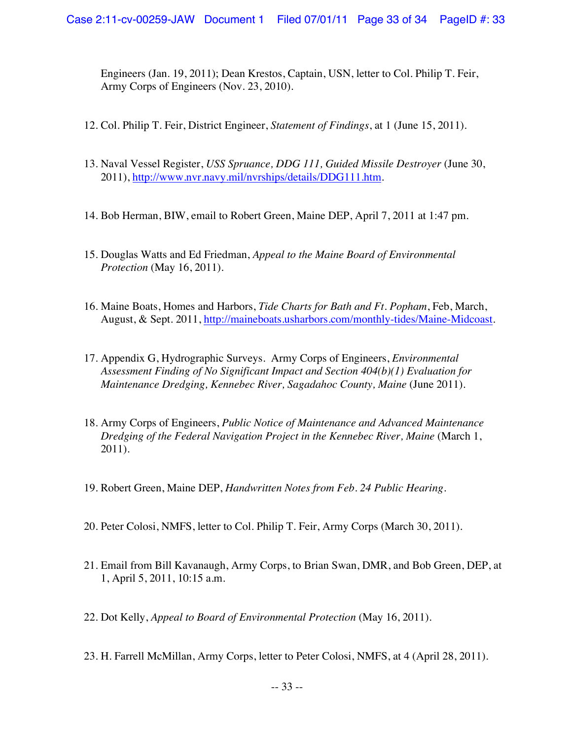Engineers (Jan. 19, 2011); Dean Krestos, Captain, USN, letter to Col. Philip T. Feir, Army Corps of Engineers (Nov. 23, 2010).

- 12. Col. Philip T. Feir, District Engineer, *Statement of Findings*, at 1 (June 15, 2011).
- 13. Naval Vessel Register, *USS Spruance, DDG 111, Guided Missile Destroyer* (June 30, 2011), http://www.nvr.navy.mil/nvrships/details/DDG111.htm.
- 14. Bob Herman, BIW, email to Robert Green, Maine DEP, April 7, 2011 at 1:47 pm.
- 15. Douglas Watts and Ed Friedman, *Appeal to the Maine Board of Environmental Protection* (May 16, 2011).
- 16. Maine Boats, Homes and Harbors, *Tide Charts for Bath and Ft. Popham*, Feb, March, August, & Sept. 2011, http://maineboats.usharbors.com/monthly-tides/Maine-Midcoast.
- 17. Appendix G, Hydrographic Surveys. Army Corps of Engineers, *Environmental Assessment Finding of No Significant Impact and Section 404(b)(1) Evaluation for Maintenance Dredging, Kennebec River, Sagadahoc County, Maine* (June 2011).
- 18. Army Corps of Engineers, *Public Notice of Maintenance and Advanced Maintenance Dredging of the Federal Navigation Project in the Kennebec River, Maine* (March 1, 2011).
- 19. Robert Green, Maine DEP, *Handwritten Notes from Feb. 24 Public Hearing*.
- 20. Peter Colosi, NMFS, letter to Col. Philip T. Feir, Army Corps (March 30, 2011).
- 21. Email from Bill Kavanaugh, Army Corps, to Brian Swan, DMR, and Bob Green, DEP, at 1, April 5, 2011, 10:15 a.m.
- 22. Dot Kelly, *Appeal to Board of Environmental Protection* (May 16, 2011).
- 23. H. Farrell McMillan, Army Corps, letter to Peter Colosi, NMFS, at 4 (April 28, 2011).